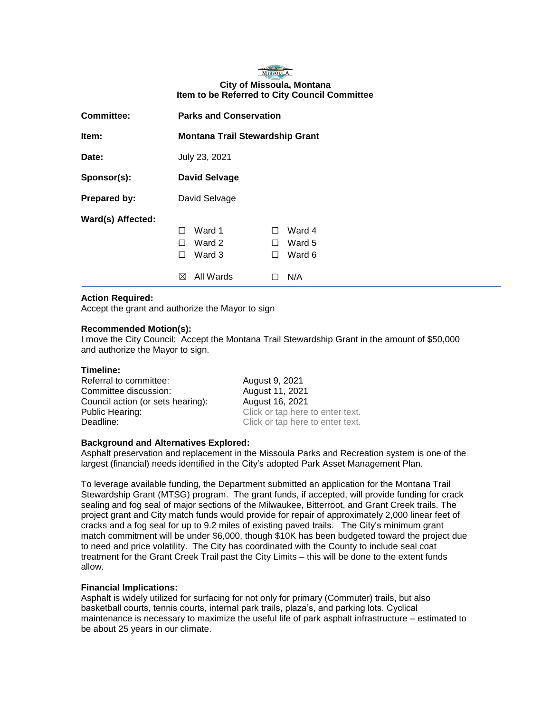## MISSOULA **City of Missoula, Montana Item to be Referred to City Council Committee**

| <b>Committee:</b> | <b>Parks and Conservation</b>                                          |                                                             |
|-------------------|------------------------------------------------------------------------|-------------------------------------------------------------|
| Item:             | <b>Montana Trail Stewardship Grant</b>                                 |                                                             |
| Date:             | July 23, 2021                                                          |                                                             |
| Sponsor(s):       | <b>David Selvage</b>                                                   |                                                             |
| Prepared by:      | David Selvage                                                          |                                                             |
| Ward(s) Affected: | Ward 1<br>H<br>Ward 2<br>$\mathsf{L}$<br>Ward 3<br>П<br>All Wards<br>⋉ | Ward 4<br>$\Box$<br>Ward 5<br>$\perp$<br>Ward 6<br>H<br>N/A |

## **Action Required:**

Accept the grant and authorize the Mayor to sign

#### **Recommended Motion(s):**

I move the City Council: Accept the Montana Trail Stewardship Grant in the amount of \$50,000 and authorize the Mayor to sign.

#### **Timeline:**

| Referral to committee:            | August 9, 2021                   |
|-----------------------------------|----------------------------------|
| Committee discussion:             | August 11, 2021                  |
| Council action (or sets hearing): | August 16, 2021                  |
| Public Hearing:                   | Click or tap here to enter text. |
| Deadline:                         | Click or tap here to enter text. |

#### **Background and Alternatives Explored:**

Asphalt preservation and replacement in the Missoula Parks and Recreation system is one of the largest (financial) needs identified in the City's adopted Park Asset Management Plan.

To leverage available funding, the Department submitted an application for the Montana Trail Stewardship Grant (MTSG) program. The grant funds, if accepted, will provide funding for crack sealing and fog seal of major sections of the Milwaukee, Bitterroot, and Grant Creek trails. The project grant and City match funds would provide for repair of approximately 2,000 linear feet of cracks and a fog seal for up to 9.2 miles of existing paved trails. The City's minimum grant match commitment will be under \$6,000, though \$10K has been budgeted toward the project due to need and price volatility. The City has coordinated with the County to include seal coat treatment for the Grant Creek Trail past the City Limits – this will be done to the extent funds allow.

### **Financial Implications:**

Asphalt is widely utilized for surfacing for not only for primary (Commuter) trails, but also basketball courts, tennis courts, internal park trails, plaza's, and parking lots. Cyclical maintenance is necessary to maximize the useful life of park asphalt infrastructure – estimated to be about 25 years in our climate.